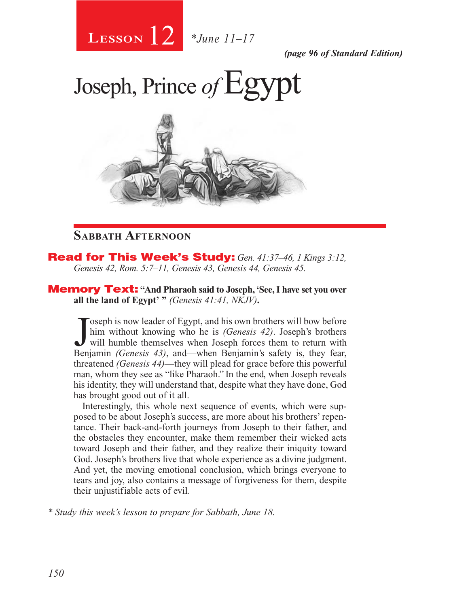# 12 **Lesson** *\*June 11–17*

*(page 96 of Standard Edition)*

# Joseph, Prince of Egypt



# **Sabbath Afternoon**

Read for This Week's Study: *Gen. 41:37–46, 1 Kings 3:12, Genesis 42, Rom. 5:7–11, Genesis 43, Genesis 44, Genesis 45.*

Memory Text: **"And Pharaoh said to Joseph, 'See, I have set you over all the land of Egypt' "** *(Genesis 41:41, NKJV)***.**

Joseph is now leader of Egypt, and his own brothers will bow before<br>him without knowing who he is *(Genesis 42)*. Joseph's brothers<br>will humble themselves when Joseph forces them to return with<br>Benjamin *(Genesis 43)* and oseph is now leader of Egypt, and his own brothers will bow before him without knowing who he is *(Genesis 42)*. Joseph's brothers Benjamin *(Genesis 43)*, and—when Benjamin's safety is, they fear, threatened *(Genesis 44)*—they will plead for grace before this powerful man, whom they see as "like Pharaoh." In the end, when Joseph reveals his identity, they will understand that, despite what they have done, God has brought good out of it all.

Interestingly, this whole next sequence of events, which were supposed to be about Joseph's success, are more about his brothers' repentance. Their back-and-forth journeys from Joseph to their father, and the obstacles they encounter, make them remember their wicked acts toward Joseph and their father, and they realize their iniquity toward God. Joseph's brothers live that whole experience as a divine judgment. And yet, the moving emotional conclusion, which brings everyone to tears and joy, also contains a message of forgiveness for them, despite their unjustifiable acts of evil.

*\* Study this week's lesson to prepare for Sabbath, June 18.*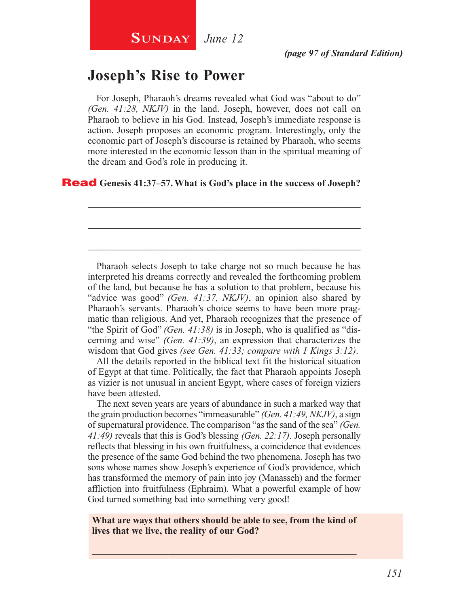# **Joseph's Rise to Power**

For Joseph, Pharaoh's dreams revealed what God was "about to do" *(Gen. 41:28, NKJV)* in the land. Joseph, however, does not call on Pharaoh to believe in his God. Instead, Joseph's immediate response is action. Joseph proposes an economic program. Interestingly, only the economic part of Joseph's discourse is retained by Pharaoh, who seems more interested in the economic lesson than in the spiritual meaning of the dream and God's role in producing it.

\_\_\_\_\_\_\_\_\_\_\_\_\_\_\_\_\_\_\_\_\_\_\_\_\_\_\_\_\_\_\_\_\_\_\_\_\_\_\_\_\_\_\_\_\_\_\_\_\_\_\_\_

\_\_\_\_\_\_\_\_\_\_\_\_\_\_\_\_\_\_\_\_\_\_\_\_\_\_\_\_\_\_\_\_\_\_\_\_\_\_\_\_\_\_\_\_\_\_\_\_\_\_\_\_

\_\_\_\_\_\_\_\_\_\_\_\_\_\_\_\_\_\_\_\_\_\_\_\_\_\_\_\_\_\_\_\_\_\_\_\_\_\_\_\_\_\_\_\_\_\_\_\_\_\_\_\_

### Read **Genesis 41:37–57. What is God's place in the success of Joseph?**

Pharaoh selects Joseph to take charge not so much because he has interpreted his dreams correctly and revealed the forthcoming problem of the land, but because he has a solution to that problem, because his "advice was good" *(Gen. 41:37, NKJV)*, an opinion also shared by Pharaoh's servants. Pharaoh's choice seems to have been more pragmatic than religious. And yet, Pharaoh recognizes that the presence of "the Spirit of God" *(Gen. 41:38)* is in Joseph, who is qualified as "discerning and wise" *(Gen. 41:39)*, an expression that characterizes the wisdom that God gives *(see Gen. 41:33; compare with 1 Kings 3:12)*.

All the details reported in the biblical text fit the historical situation of Egypt at that time. Politically, the fact that Pharaoh appoints Joseph as vizier is not unusual in ancient Egypt, where cases of foreign viziers have been attested.

The next seven years are years of abundance in such a marked way that the grain production becomes "immeasurable" *(Gen. 41:49, NKJV)*, a sign of supernatural providence. The comparison "as the sand of the sea" *(Gen. 41:49)* reveals that this is God's blessing *(Gen. 22:17)*. Joseph personally reflects that blessing in his own fruitfulness, a coincidence that evidences the presence of the same God behind the two phenomena. Joseph has two sons whose names show Joseph's experience of God's providence, which has transformed the memory of pain into joy (Manasseh) and the former affliction into fruitfulness (Ephraim). What a powerful example of how God turned something bad into something very good!

**What are ways that others should be able to see, from the kind of lives that we live, the reality of our God?**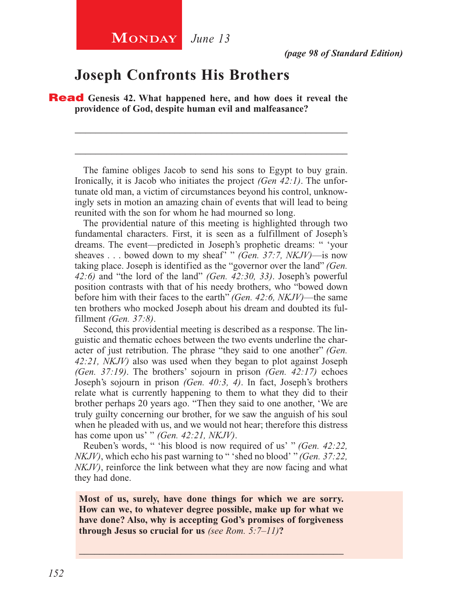## **Joseph Confronts His Brothers**

Read **Genesis 42. What happened here, and how does it reveal the providence of God, despite human evil and malfeasance?**

The famine obliges Jacob to send his sons to Egypt to buy grain. Ironically, it is Jacob who initiates the project *(Gen 42:1)*. The unfortunate old man, a victim of circumstances beyond his control, unknowingly sets in motion an amazing chain of events that will lead to being reunited with the son for whom he had mourned so long.

\_\_\_\_\_\_\_\_\_\_\_\_\_\_\_\_\_\_\_\_\_\_\_\_\_\_\_\_\_\_\_\_\_\_\_\_\_\_\_\_\_\_\_\_\_\_\_\_\_\_\_\_

\_\_\_\_\_\_\_\_\_\_\_\_\_\_\_\_\_\_\_\_\_\_\_\_\_\_\_\_\_\_\_\_\_\_\_\_\_\_\_\_\_\_\_\_\_\_\_\_\_\_\_\_

The providential nature of this meeting is highlighted through two fundamental characters. First, it is seen as a fulfillment of Joseph's dreams. The event—predicted in Joseph's prophetic dreams: " 'your sheaves . . . bowed down to my sheaf' " *(Gen. 37:7, NKJV)*—is now taking place. Joseph is identified as the "governor over the land" *(Gen. 42:6)* and "the lord of the land" *(Gen. 42:30, 33)*. Joseph's powerful position contrasts with that of his needy brothers, who "bowed down before him with their faces to the earth" *(Gen. 42:6, NKJV)*—the same ten brothers who mocked Joseph about his dream and doubted its fulfillment *(Gen. 37:8)*.

Second, this providential meeting is described as a response. The linguistic and thematic echoes between the two events underline the character of just retribution. The phrase "they said to one another" *(Gen. 42:21, NKJV)* also was used when they began to plot against Joseph *(Gen. 37:19)*. The brothers' sojourn in prison *(Gen. 42:17)* echoes Joseph's sojourn in prison *(Gen. 40:3, 4)*. In fact, Joseph's brothers relate what is currently happening to them to what they did to their brother perhaps 20 years ago. "Then they said to one another, 'We are truly guilty concerning our brother, for we saw the anguish of his soul when he pleaded with us, and we would not hear; therefore this distress has come upon us' " *(Gen. 42:21, NKJV)*.

Reuben's words, " 'his blood is now required of us' " *(Gen. 42:22, NKJV)*, which echo his past warning to " 'shed no blood' " *(Gen. 37:22, NKJV)*, reinforce the link between what they are now facing and what they had done.

**Most of us, surely, have done things for which we are sorry. How can we, to whatever degree possible, make up for what we have done? Also, why is accepting God's promises of forgiveness through Jesus so crucial for us** *(see Rom. 5:7–11)***?**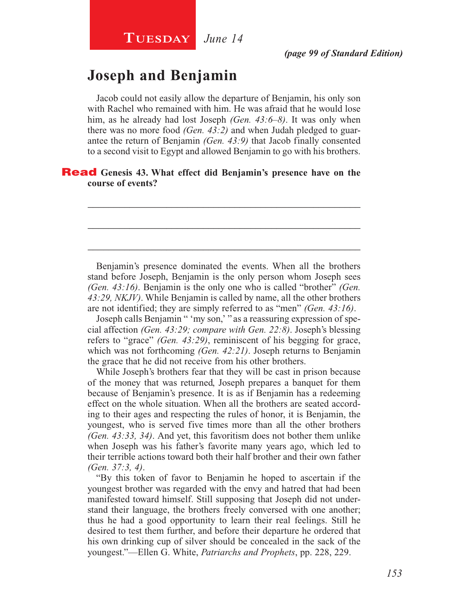# **Joseph and Benjamin**

Jacob could not easily allow the departure of Benjamin, his only son with Rachel who remained with him. He was afraid that he would lose him, as he already had lost Joseph *(Gen. 43:6–8)*. It was only when there was no more food *(Gen. 43:2)* and when Judah pledged to guarantee the return of Benjamin *(Gen. 43:9)* that Jacob finally consented to a second visit to Egypt and allowed Benjamin to go with his brothers.

\_\_\_\_\_\_\_\_\_\_\_\_\_\_\_\_\_\_\_\_\_\_\_\_\_\_\_\_\_\_\_\_\_\_\_\_\_\_\_\_\_\_\_\_\_\_\_\_\_\_\_\_

\_\_\_\_\_\_\_\_\_\_\_\_\_\_\_\_\_\_\_\_\_\_\_\_\_\_\_\_\_\_\_\_\_\_\_\_\_\_\_\_\_\_\_\_\_\_\_\_\_\_\_\_

\_\_\_\_\_\_\_\_\_\_\_\_\_\_\_\_\_\_\_\_\_\_\_\_\_\_\_\_\_\_\_\_\_\_\_\_\_\_\_\_\_\_\_\_\_\_\_\_\_\_\_\_

### Read **Genesis 43. What effect did Benjamin's presence have on the course of events?**

Benjamin's presence dominated the events. When all the brothers stand before Joseph, Benjamin is the only person whom Joseph sees *(Gen. 43:16)*. Benjamin is the only one who is called "brother" *(Gen. 43:29, NKJV)*. While Benjamin is called by name, all the other brothers are not identified; they are simply referred to as "men" *(Gen. 43:16)*.

Joseph calls Benjamin " 'my son,' " as a reassuring expression of special affection *(Gen. 43:29; compare with Gen. 22:8)*. Joseph's blessing refers to "grace" *(Gen. 43:29)*, reminiscent of his begging for grace, which was not forthcoming *(Gen. 42:21)*. Joseph returns to Benjamin the grace that he did not receive from his other brothers.

While Joseph's brothers fear that they will be cast in prison because of the money that was returned, Joseph prepares a banquet for them because of Benjamin's presence. It is as if Benjamin has a redeeming effect on the whole situation. When all the brothers are seated according to their ages and respecting the rules of honor, it is Benjamin, the youngest, who is served five times more than all the other brothers *(Gen. 43:33, 34)*. And yet, this favoritism does not bother them unlike when Joseph was his father's favorite many years ago, which led to their terrible actions toward both their half brother and their own father *(Gen. 37:3, 4)*.

"By this token of favor to Benjamin he hoped to ascertain if the youngest brother was regarded with the envy and hatred that had been manifested toward himself. Still supposing that Joseph did not understand their language, the brothers freely conversed with one another; thus he had a good opportunity to learn their real feelings. Still he desired to test them further, and before their departure he ordered that his own drinking cup of silver should be concealed in the sack of the youngest."—Ellen G. White, *Patriarchs and Prophets*, pp. 228, 229.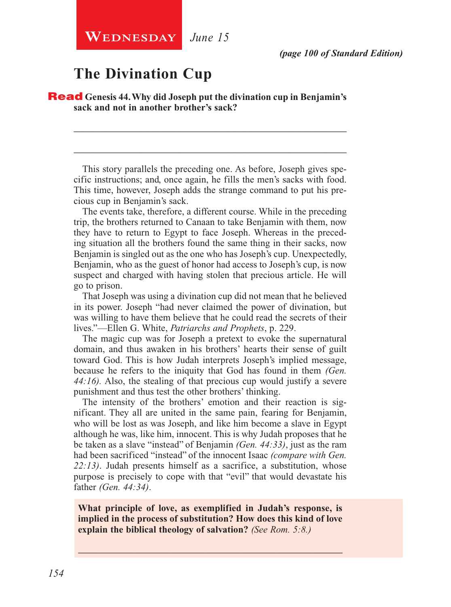**WEDNESDAY** June 15

# **The Divination Cup**

Read **Genesis 44. Why did Joseph put the divination cup in Benjamin's sack and not in another brother's sack?**

This story parallels the preceding one. As before, Joseph gives specific instructions; and, once again, he fills the men's sacks with food. This time, however, Joseph adds the strange command to put his precious cup in Benjamin's sack.

\_\_\_\_\_\_\_\_\_\_\_\_\_\_\_\_\_\_\_\_\_\_\_\_\_\_\_\_\_\_\_\_\_\_\_\_\_\_\_\_\_\_\_\_\_\_\_\_\_\_\_\_

\_\_\_\_\_\_\_\_\_\_\_\_\_\_\_\_\_\_\_\_\_\_\_\_\_\_\_\_\_\_\_\_\_\_\_\_\_\_\_\_\_\_\_\_\_\_\_\_\_\_\_\_

The events take, therefore, a different course. While in the preceding trip, the brothers returned to Canaan to take Benjamin with them, now they have to return to Egypt to face Joseph. Whereas in the preceding situation all the brothers found the same thing in their sacks, now Benjamin is singled out as the one who has Joseph's cup. Unexpectedly, Benjamin, who as the guest of honor had access to Joseph's cup, is now suspect and charged with having stolen that precious article. He will go to prison.

That Joseph was using a divination cup did not mean that he believed in its power. Joseph "had never claimed the power of divination, but was willing to have them believe that he could read the secrets of their lives."—Ellen G. White, *Patriarchs and Prophets*, p. 229.

The magic cup was for Joseph a pretext to evoke the supernatural domain, and thus awaken in his brothers' hearts their sense of guilt toward God. This is how Judah interprets Joseph's implied message, because he refers to the iniquity that God has found in them *(Gen. 44:16).* Also, the stealing of that precious cup would justify a severe punishment and thus test the other brothers' thinking.

The intensity of the brothers' emotion and their reaction is significant. They all are united in the same pain, fearing for Benjamin, who will be lost as was Joseph, and like him become a slave in Egypt although he was, like him, innocent. This is why Judah proposes that he be taken as a slave "instead" of Benjamin *(Gen. 44:33)*, just as the ram had been sacrificed "instead" of the innocent Isaac *(compare with Gen. 22:13)*. Judah presents himself as a sacrifice, a substitution, whose purpose is precisely to cope with that "evil" that would devastate his father *(Gen. 44:34)*.

**What principle of love, as exemplified in Judah's response, is implied in the process of substitution? How does this kind of love explain the biblical theology of salvation?** *(See Rom. 5:8.)*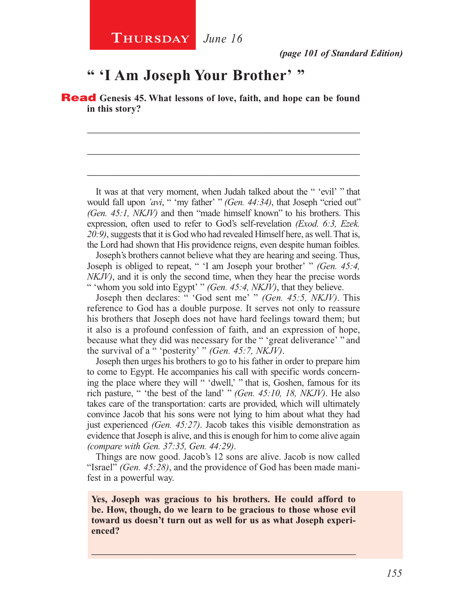# **" 'I Am Joseph Your Brother' "**

Read **Genesis 45. What lessons of love, faith, and hope can be found in this story?**

\_\_\_\_\_\_\_\_\_\_\_\_\_\_\_\_\_\_\_\_\_\_\_\_\_\_\_\_\_\_\_\_\_\_\_\_\_\_\_\_\_\_\_\_\_\_\_\_\_\_\_\_

\_\_\_\_\_\_\_\_\_\_\_\_\_\_\_\_\_\_\_\_\_\_\_\_\_\_\_\_\_\_\_\_\_\_\_\_\_\_\_\_\_\_\_\_\_\_\_\_\_\_\_\_

\_\_\_\_\_\_\_\_\_\_\_\_\_\_\_\_\_\_\_\_\_\_\_\_\_\_\_\_\_\_\_\_\_\_\_\_\_\_\_\_\_\_\_\_\_\_\_\_\_\_\_\_

It was at that very moment, when Judah talked about the " 'evil' " that would fall upon *'avi*, " 'my father' " *(Gen. 44:34)*, that Joseph "cried out" *(Gen. 45:1, NKJV)* and then "made himself known" to his brothers. This expression, often used to refer to God's self-revelation *(Exod. 6:3, Ezek. 20:9)*, suggests that it is God who had revealed Himself here, as well. That is, the Lord had shown that His providence reigns, even despite human foibles.

Joseph's brothers cannot believe what they are hearing and seeing. Thus, Joseph is obliged to repeat, " 'I am Joseph your brother' " *(Gen. 45:4, NKJV)*, and it is only the second time, when they hear the precise words " 'whom you sold into Egypt' " *(Gen. 45:4, NKJV)*, that they believe.

Joseph then declares: " 'God sent me' " *(Gen. 45:5, NKJV)*. This reference to God has a double purpose. It serves not only to reassure his brothers that Joseph does not have hard feelings toward them; but it also is a profound confession of faith, and an expression of hope, because what they did was necessary for the " 'great deliverance' " and the survival of a " 'posterity' " *(Gen. 45:7, NKJV)*.

Joseph then urges his brothers to go to his father in order to prepare him to come to Egypt. He accompanies his call with specific words concerning the place where they will " 'dwell,' " that is, Goshen, famous for its rich pasture, " 'the best of the land' " *(Gen. 45:10, 18, NKJV)*. He also takes care of the transportation: carts are provided, which will ultimately convince Jacob that his sons were not lying to him about what they had just experienced *(Gen. 45:27)*. Jacob takes this visible demonstration as evidence that Joseph is alive, and this is enough for him to come alive again *(compare with Gen. 37:35, Gen. 44:29)*.

Things are now good. Jacob's 12 sons are alive. Jacob is now called "Israel" *(Gen. 45:28)*, and the providence of God has been made manifest in a powerful way.

**Yes, Joseph was gracious to his brothers. He could afford to be. How, though, do we learn to be gracious to those whose evil toward us doesn't turn out as well for us as what Joseph experienced?**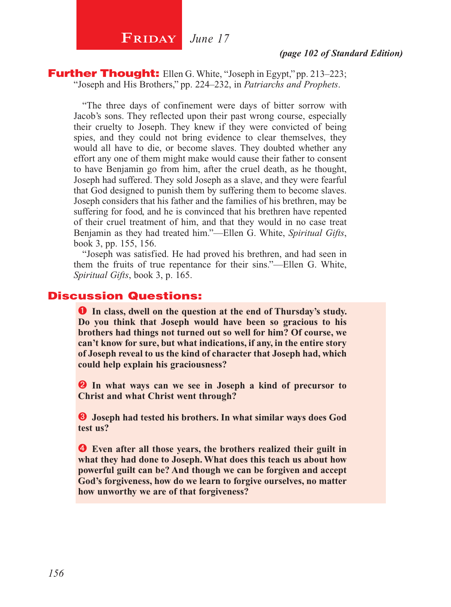### **Further Thought:** Ellen G. White, "Joseph in Egypt," pp. 213–223; "Joseph and His Brothers," pp. 224–232, in *Patriarchs and Prophets*.

"The three days of confinement were days of bitter sorrow with Jacob's sons. They reflected upon their past wrong course, especially their cruelty to Joseph. They knew if they were convicted of being spies, and they could not bring evidence to clear themselves, they would all have to die, or become slaves. They doubted whether any effort any one of them might make would cause their father to consent to have Benjamin go from him, after the cruel death, as he thought, Joseph had suffered. They sold Joseph as a slave, and they were fearful that God designed to punish them by suffering them to become slaves. Joseph considers that his father and the families of his brethren, may be suffering for food, and he is convinced that his brethren have repented of their cruel treatment of him, and that they would in no case treat Benjamin as they had treated him."—Ellen G. White, *Spiritual Gifts*, book 3, pp. 155, 156.

"Joseph was satisfied. He had proved his brethren, and had seen in them the fruits of true repentance for their sins."—Ellen G. White, *Spiritual Gifts*, book 3, p. 165.

### Discussion Questions:

**In class, dwell on the question at the end of Thursday's study. Do you think that Joseph would have been so gracious to his brothers had things not turned out so well for him? Of course, we can't know for sure, but what indications, if any, in the entire story of Joseph reveal to us the kind of character that Joseph had, which could help explain his graciousness?**

 **In what ways can we see in Joseph a kind of precursor to Christ and what Christ went through?**

 **Joseph had tested his brothers. In what similar ways does God test us?**

 **Even after all those years, the brothers realized their guilt in what they had done to Joseph. What does this teach us about how powerful guilt can be? And though we can be forgiven and accept God's forgiveness, how do we learn to forgive ourselves, no matter how unworthy we are of that forgiveness?**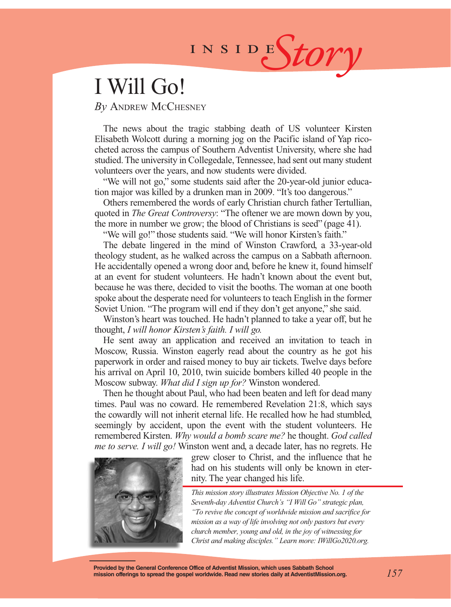# INSIDEStory

# I Will Go!

### *By* Andrew McChesney

The news about the tragic stabbing death of US volunteer Kirsten Elisabeth Wolcott during a morning jog on the Pacific island of Yap ricocheted across the campus of Southern Adventist University, where she had studied. The university in Collegedale, Tennessee, had sent out many student volunteers over the years, and now students were divided.

"We will not go," some students said after the 20-year-old junior education major was killed by a drunken man in 2009. "It's too dangerous."

Others remembered the words of early Christian church father Tertullian, quoted in *The Great Controversy*: "The oftener we are mown down by you, the more in number we grow; the blood of Christians is seed" (page 41).

"We will go!" those students said. "We will honor Kirsten's faith."

The debate lingered in the mind of Winston Crawford, a 33-year-old theology student, as he walked across the campus on a Sabbath afternoon. He accidentally opened a wrong door and, before he knew it, found himself at an event for student volunteers. He hadn't known about the event but, because he was there, decided to visit the booths. The woman at one booth spoke about the desperate need for volunteers to teach English in the former Soviet Union. "The program will end if they don't get anyone," she said.

Winston's heart was touched. He hadn't planned to take a year off, but he thought, *I will honor Kirsten's faith. I will go.*

He sent away an application and received an invitation to teach in Moscow, Russia. Winston eagerly read about the country as he got his paperwork in order and raised money to buy air tickets. Twelve days before his arrival on April 10, 2010, twin suicide bombers killed 40 people in the Moscow subway. *What did I sign up for?* Winston wondered.

Then he thought about Paul, who had been beaten and left for dead many times. Paul was no coward. He remembered Revelation 21:8, which says the cowardly will not inherit eternal life. He recalled how he had stumbled, seemingly by accident, upon the event with the student volunteers. He remembered Kirsten. *Why would a bomb scare me?* he thought. *God called me to serve. I will go!* Winston went and, a decade later, has no regrets. He



grew closer to Christ, and the influence that he had on his students will only be known in eternity. The year changed his life.

*This mission story illustrates Mission Objective No. 1 of the Seventh-day Adventist Church's "I Will Go" strategic plan, "To revive the concept of worldwide mission and sacrifice for mission as a way of life involving not only pastors but every church member, young and old, in the joy of witnessing for Christ and making disciples." Learn more: IWillGo2020.org.*

**Provided by the General Conference Office of Adventist Mission, which uses Sabbath School mission offerings to spread the gospel worldwide. Read new stories daily at AdventistMission.org.**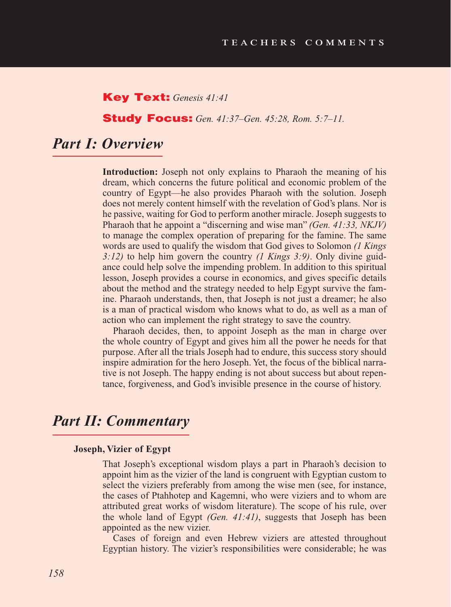### Key Text: *Genesis 41:41*

### Study Focus: *Gen. 41:37–Gen. 45:28, Rom. 5:7–11.*

## *Part I: Overview*

**Introduction:** Joseph not only explains to Pharaoh the meaning of his dream, which concerns the future political and economic problem of the country of Egypt—he also provides Pharaoh with the solution. Joseph does not merely content himself with the revelation of God's plans. Nor is he passive, waiting for God to perform another miracle. Joseph suggests to Pharaoh that he appoint a "discerning and wise man" *(Gen. 41:33, NKJV)* to manage the complex operation of preparing for the famine. The same words are used to qualify the wisdom that God gives to Solomon *(1 Kings 3:12)* to help him govern the country *(1 Kings 3:9)*. Only divine guidance could help solve the impending problem. In addition to this spiritual lesson, Joseph provides a course in economics, and gives specific details about the method and the strategy needed to help Egypt survive the famine. Pharaoh understands, then, that Joseph is not just a dreamer; he also is a man of practical wisdom who knows what to do, as well as a man of action who can implement the right strategy to save the country.

Pharaoh decides, then, to appoint Joseph as the man in charge over the whole country of Egypt and gives him all the power he needs for that purpose. After all the trials Joseph had to endure, this success story should inspire admiration for the hero Joseph. Yet, the focus of the biblical narrative is not Joseph. The happy ending is not about success but about repentance, forgiveness, and God's invisible presence in the course of history.

## *Part II: Commentary*

#### **Joseph, Vizier of Egypt**

That Joseph's exceptional wisdom plays a part in Pharaoh's decision to appoint him as the vizier of the land is congruent with Egyptian custom to select the viziers preferably from among the wise men (see, for instance, the cases of Ptahhotep and Kagemni, who were viziers and to whom are attributed great works of wisdom literature). The scope of his rule, over the whole land of Egypt *(Gen. 41:41)*, suggests that Joseph has been appointed as the new vizier.

Cases of foreign and even Hebrew viziers are attested throughout Egyptian history. The vizier's responsibilities were considerable; he was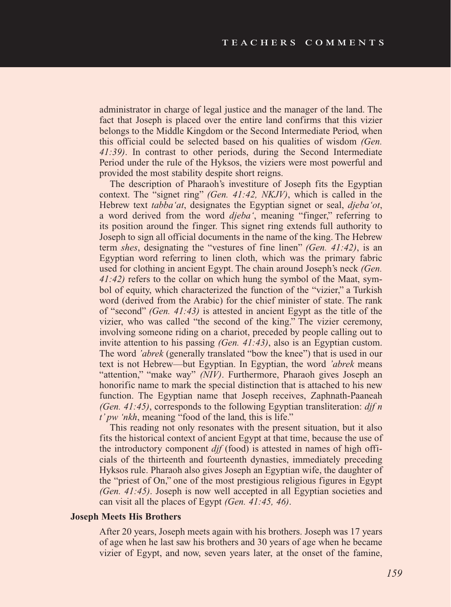administrator in charge of legal justice and the manager of the land. The fact that Joseph is placed over the entire land confirms that this vizier belongs to the Middle Kingdom or the Second Intermediate Period, when this official could be selected based on his qualities of wisdom *(Gen. 41:39)*. In contrast to other periods, during the Second Intermediate Period under the rule of the Hyksos, the viziers were most powerful and provided the most stability despite short reigns.

The description of Pharaoh's investiture of Joseph fits the Egyptian context. The "signet ring" *(Gen. 41:42, NKJV)*, which is called in the Hebrew text *tabba'at*, designates the Egyptian signet or seal, *djeba'ot*, a word derived from the word *djeba'*, meaning "finger," referring to its position around the finger. This signet ring extends full authority to Joseph to sign all official documents in the name of the king. The Hebrew term *shes*, designating the "vestures of fine linen" *(Gen. 41:42)*, is an Egyptian word referring to linen cloth, which was the primary fabric used for clothing in ancient Egypt. The chain around Joseph's neck *(Gen. 41:42)* refers to the collar on which hung the symbol of the Maat, symbol of equity, which characterized the function of the "vizier," a Turkish word (derived from the Arabic) for the chief minister of state. The rank of "second" *(Gen. 41:43)* is attested in ancient Egypt as the title of the vizier, who was called "the second of the king." The vizier ceremony, involving someone riding on a chariot, preceded by people calling out to invite attention to his passing *(Gen. 41:43)*, also is an Egyptian custom. The word *'abrek* (generally translated "bow the knee") that is used in our text is not Hebrew—but Egyptian. In Egyptian, the word *'abrek* means "attention," "make way" *(NIV)*. Furthermore, Pharaoh gives Joseph an honorific name to mark the special distinction that is attached to his new function. The Egyptian name that Joseph receives, Zaphnath-Paaneah *(Gen. 41:45)*, corresponds to the following Egyptian transliteration: *djf n t' pw 'nkh*, meaning "food of the land, this is life."

This reading not only resonates with the present situation, but it also fits the historical context of ancient Egypt at that time, because the use of the introductory component *djf* (food) is attested in names of high officials of the thirteenth and fourteenth dynasties, immediately preceding Hyksos rule. Pharaoh also gives Joseph an Egyptian wife, the daughter of the "priest of On," one of the most prestigious religious figures in Egypt *(Gen. 41:45)*. Joseph is now well accepted in all Egyptian societies and can visit all the places of Egypt *(Gen. 41:45, 46)*.

### **Joseph Meets His Brothers**

After 20 years, Joseph meets again with his brothers. Joseph was 17 years of age when he last saw his brothers and 30 years of age when he became vizier of Egypt, and now, seven years later, at the onset of the famine,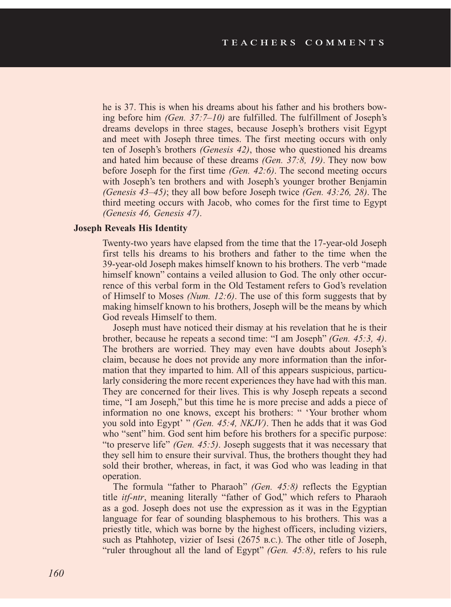he is 37. This is when his dreams about his father and his brothers bowing before him *(Gen. 37:7–10)* are fulfilled. The fulfillment of Joseph's dreams develops in three stages, because Joseph's brothers visit Egypt and meet with Joseph three times. The first meeting occurs with only ten of Joseph's brothers *(Genesis 42)*, those who questioned his dreams and hated him because of these dreams *(Gen. 37:8, 19)*. They now bow before Joseph for the first time *(Gen. 42:6)*. The second meeting occurs with Joseph's ten brothers and with Joseph's younger brother Benjamin *(Genesis 43–45)*; they all bow before Joseph twice *(Gen. 43:26, 28)*. The third meeting occurs with Jacob, who comes for the first time to Egypt *(Genesis 46, Genesis 47)*.

### **Joseph Reveals His Identity**

Twenty-two years have elapsed from the time that the 17-year-old Joseph first tells his dreams to his brothers and father to the time when the 39-year-old Joseph makes himself known to his brothers. The verb "made himself known" contains a veiled allusion to God. The only other occurrence of this verbal form in the Old Testament refers to God's revelation of Himself to Moses *(Num. 12:6)*. The use of this form suggests that by making himself known to his brothers, Joseph will be the means by which God reveals Himself to them.

Joseph must have noticed their dismay at his revelation that he is their brother, because he repeats a second time: "I am Joseph" *(Gen. 45:3, 4)*. The brothers are worried. They may even have doubts about Joseph's claim, because he does not provide any more information than the information that they imparted to him. All of this appears suspicious, particularly considering the more recent experiences they have had with this man. They are concerned for their lives. This is why Joseph repeats a second time, "I am Joseph," but this time he is more precise and adds a piece of information no one knows, except his brothers: " 'Your brother whom you sold into Egypt' " *(Gen. 45:4, NKJV)*. Then he adds that it was God who "sent" him. God sent him before his brothers for a specific purpose: "to preserve life" *(Gen. 45:5)*. Joseph suggests that it was necessary that they sell him to ensure their survival. Thus, the brothers thought they had sold their brother, whereas, in fact, it was God who was leading in that operation.

The formula "father to Pharaoh" *(Gen. 45:8)* reflects the Egyptian title *itf-ntr*, meaning literally "father of God," which refers to Pharaoh as a god. Joseph does not use the expression as it was in the Egyptian language for fear of sounding blasphemous to his brothers. This was a priestly title, which was borne by the highest officers, including viziers, such as Ptahhotep, vizier of Isesi (2675 b.c.). The other title of Joseph, "ruler throughout all the land of Egypt" *(Gen. 45:8)*, refers to his rule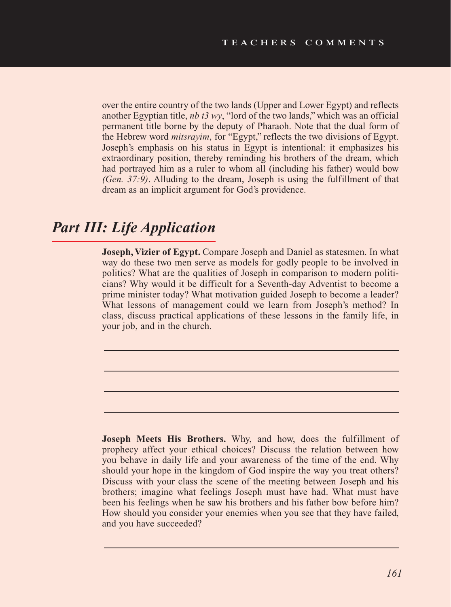over the entire country of the two lands (Upper and Lower Egypt) and reflects another Egyptian title, *nb t3 wy*, "lord of the two lands," which was an official permanent title borne by the deputy of Pharaoh. Note that the dual form of the Hebrew word *mitsrayim*, for "Egypt," reflects the two divisions of Egypt. Joseph's emphasis on his status in Egypt is intentional: it emphasizes his extraordinary position, thereby reminding his brothers of the dream, which had portrayed him as a ruler to whom all (including his father) would bow *(Gen. 37:9)*. Alluding to the dream, Joseph is using the fulfillment of that dream as an implicit argument for God's providence.

# *Part III: Life Application*

**Joseph, Vizier of Egypt.** Compare Joseph and Daniel as statesmen. In what way do these two men serve as models for godly people to be involved in politics? What are the qualities of Joseph in comparison to modern politicians? Why would it be difficult for a Seventh-day Adventist to become a prime minister today? What motivation guided Joseph to become a leader? What lessons of management could we learn from Joseph's method? In class, discuss practical applications of these lessons in the family life, in your job, and in the church.

**Joseph Meets His Brothers.** Why, and how, does the fulfillment of prophecy affect your ethical choices? Discuss the relation between how you behave in daily life and your awareness of the time of the end. Why should your hope in the kingdom of God inspire the way you treat others? Discuss with your class the scene of the meeting between Joseph and his brothers; imagine what feelings Joseph must have had. What must have been his feelings when he saw his brothers and his father bow before him? How should you consider your enemies when you see that they have failed, and you have succeeded?